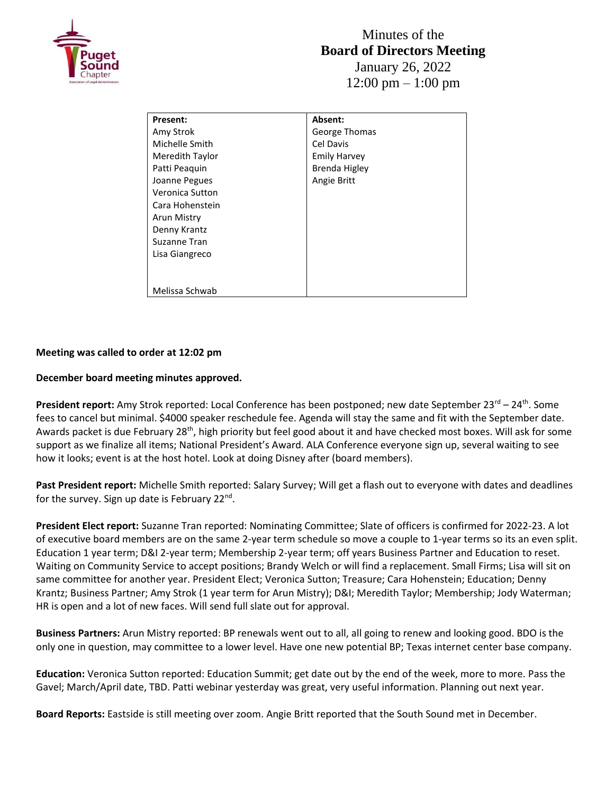

| <b>Present:</b> | Absent:       |
|-----------------|---------------|
| Amy Strok       | George Thomas |
| Michelle Smith  | Cel Davis     |
| Meredith Taylor | Emily Harvey  |
| Patti Peaguin   | Brenda Higley |
| Joanne Pegues   | Angie Britt   |
| Veronica Sutton |               |
| Cara Hohenstein |               |
| Arun Mistry     |               |
| Denny Krantz    |               |
| Suzanne Tran    |               |
| Lisa Giangreco  |               |
|                 |               |
|                 |               |
| Melissa Schwab  |               |

## **Meeting was called to order at 12:02 pm**

## **December board meeting minutes approved.**

**President report:** Amy Strok reported: Local Conference has been postponed; new date September 23<sup>rd</sup> – 24<sup>th</sup>. Some fees to cancel but minimal. \$4000 speaker reschedule fee. Agenda will stay the same and fit with the September date. Awards packet is due February 28<sup>th</sup>, high priority but feel good about it and have checked most boxes. Will ask for some support as we finalize all items; National President's Award. ALA Conference everyone sign up, several waiting to see how it looks; event is at the host hotel. Look at doing Disney after (board members).

**Past President report:** Michelle Smith reported: Salary Survey; Will get a flash out to everyone with dates and deadlines for the survey. Sign up date is February 22<sup>nd</sup>.

**President Elect report:** Suzanne Tran reported: Nominating Committee; Slate of officers is confirmed for 2022-23. A lot of executive board members are on the same 2-year term schedule so move a couple to 1-year terms so its an even split. Education 1 year term; D&I 2-year term; Membership 2-year term; off years Business Partner and Education to reset. Waiting on Community Service to accept positions; Brandy Welch or will find a replacement. Small Firms; Lisa will sit on same committee for another year. President Elect; Veronica Sutton; Treasure; Cara Hohenstein; Education; Denny Krantz; Business Partner; Amy Strok (1 year term for Arun Mistry); D&I; Meredith Taylor; Membership; Jody Waterman; HR is open and a lot of new faces. Will send full slate out for approval.

**Business Partners:** Arun Mistry reported: BP renewals went out to all, all going to renew and looking good. BDO is the only one in question, may committee to a lower level. Have one new potential BP; Texas internet center base company.

**Education:** Veronica Sutton reported: Education Summit; get date out by the end of the week, more to more. Pass the Gavel; March/April date, TBD. Patti webinar yesterday was great, very useful information. Planning out next year.

**Board Reports:** Eastside is still meeting over zoom. Angie Britt reported that the South Sound met in December.